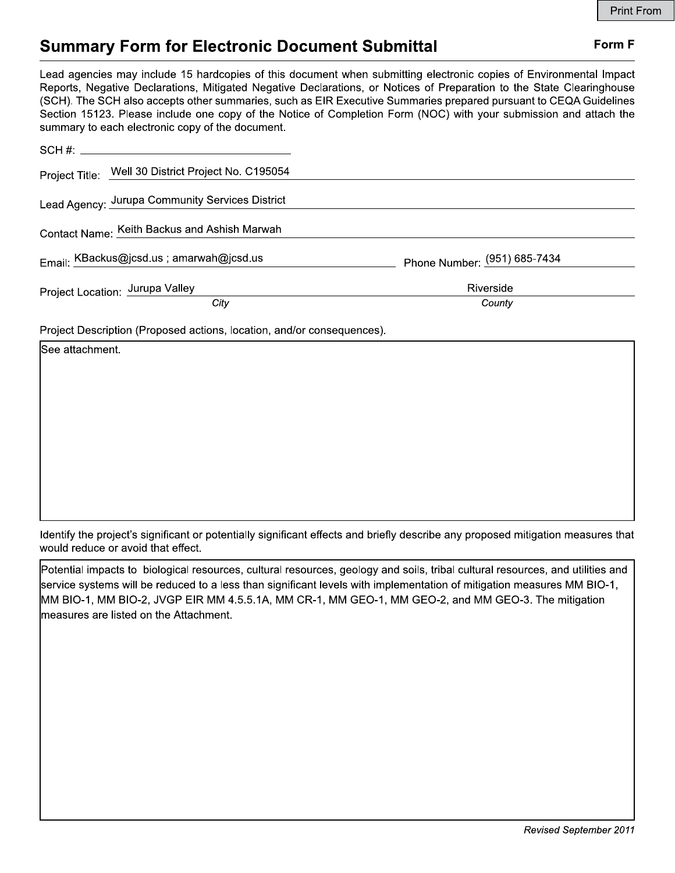## Form F

# **Summary Form for Electronic Document Submittal**

Lead agencies may include 15 hardcopies of this document when submitting electronic copies of Environmental Impact Reports, Negative Declarations, Mitigated Negative Declarations, or Notices of Preparation to the State Clearinghouse (SCH). The SCH also accepts other summaries, such as EIR Executive Summaries prepared pursuant to CEQA Guidelines Section 15123. Please include one copy of the Notice of Completion Form (NOC) with your submission and attach the summary to each electronic copy of the document.

|                                          | Project Title: Well 30 District Project No. C195054 |                              |
|------------------------------------------|-----------------------------------------------------|------------------------------|
|                                          | Lead Agency: Jurupa Community Services District     |                              |
|                                          | Contact Name: Keith Backus and Ashish Marwah        |                              |
| Email: KBackus@jcsd.us ; amarwah@jcsd.us |                                                     | Phone Number: (951) 685-7434 |
|                                          | Project Location: Jurupa Valley                     | Riverside                    |
|                                          | City                                                | County                       |
|                                          |                                                     |                              |

Project Description (Proposed actions, location, and/or consequences).

| See attachment. |  |  |  |  |  |  |  |  |  |
|-----------------|--|--|--|--|--|--|--|--|--|
|                 |  |  |  |  |  |  |  |  |  |
|                 |  |  |  |  |  |  |  |  |  |
|                 |  |  |  |  |  |  |  |  |  |
|                 |  |  |  |  |  |  |  |  |  |
|                 |  |  |  |  |  |  |  |  |  |
|                 |  |  |  |  |  |  |  |  |  |
|                 |  |  |  |  |  |  |  |  |  |

Identify the project's significant or potentially significant effects and briefly describe any proposed mitigation measures that would reduce or avoid that effect.

Potential impacts to biological resources, cultural resources, geology and soils, tribal cultural resources, and utilities and service systems will be reduced to a less than significant levels with implementation of mitigation measures MM BIO-1, MM BIO-1, MM BIO-2, JVGP EIR MM 4.5.5.1A, MM CR-1, MM GEO-1, MM GEO-2, and MM GEO-3. The mitigation measures are listed on the Attachment.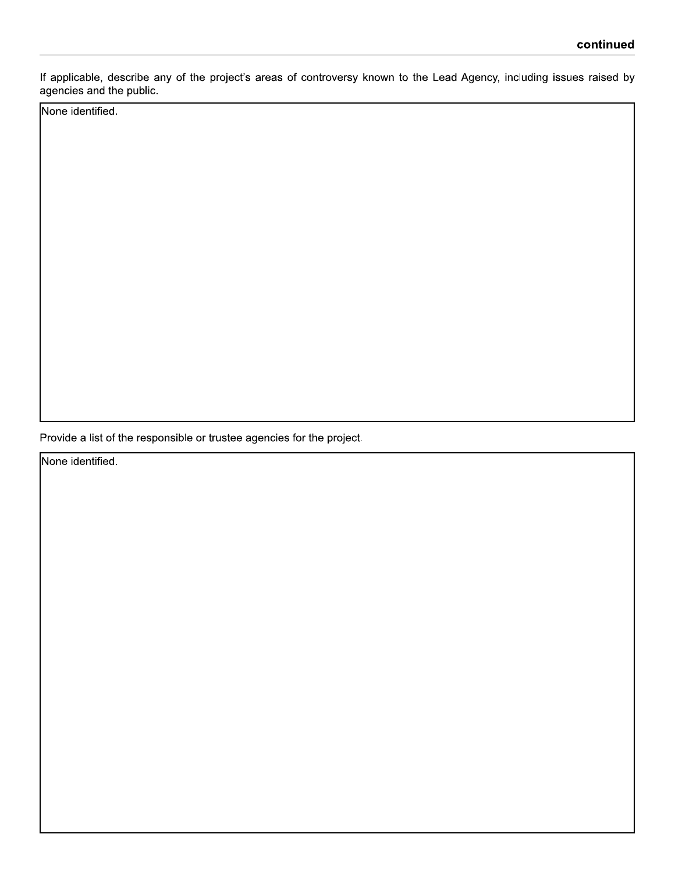If applicable, describe any of the project's areas of controversy known to the Lead Agency, including issues raised by agencies and the public.

None identified.

Provide a list of the responsible or trustee agencies for the project.

None identified.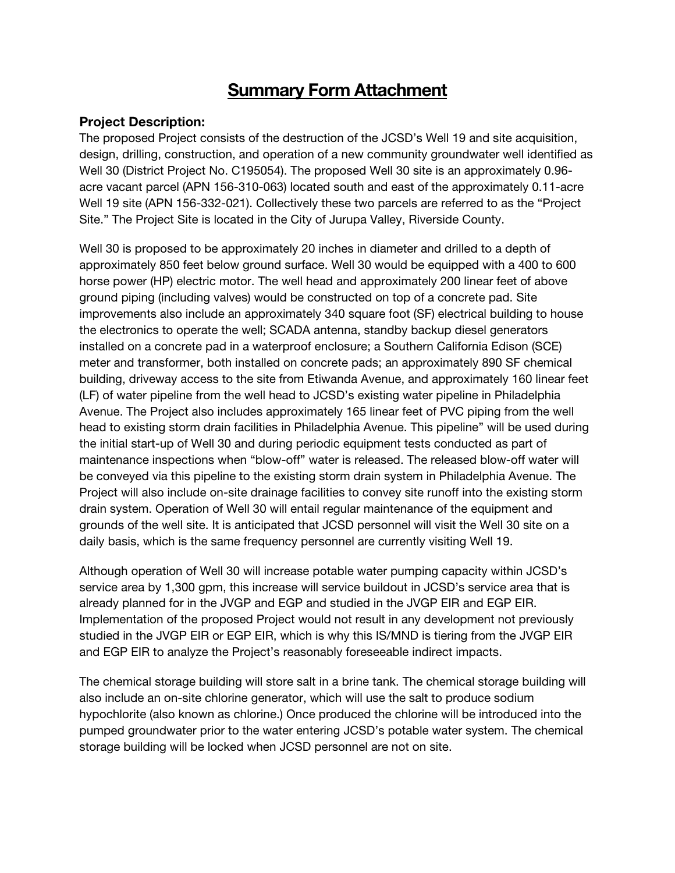# **Summary Form Attachment**

## Project Description:

The proposed Project consists of the destruction of the JCSD's Well 19 and site acquisition, design, drilling, construction, and operation of a new community groundwater well identified as Well 30 (District Project No. C195054). The proposed Well 30 site is an approximately 0.96 acre vacant parcel (APN 156-310-063) located south and east of the approximately 0.11-acre Well 19 site (APN 156-332-021). Collectively these two parcels are referred to as the "Project Site." The Project Site is located in the City of Jurupa Valley, Riverside County.

Well 30 is proposed to be approximately 20 inches in diameter and drilled to a depth of approximately 850 feet below ground surface. Well 30 would be equipped with a 400 to 600 horse power (HP) electric motor. The well head and approximately 200 linear feet of above ground piping (including valves) would be constructed on top of a concrete pad. Site improvements also include an approximately 340 square foot (SF) electrical building to house the electronics to operate the well; SCADA antenna, standby backup diesel generators installed on a concrete pad in a waterproof enclosure; a Southern California Edison (SCE) meter and transformer, both installed on concrete pads; an approximately 890 SF chemical building, driveway access to the site from Etiwanda Avenue, and approximately 160 linear feet (LF) of water pipeline from the well head to JCSD's existing water pipeline in Philadelphia Avenue. The Project also includes approximately 165 linear feet of PVC piping from the well head to existing storm drain facilities in Philadelphia Avenue. This pipeline" will be used during the initial start-up of Well 30 and during periodic equipment tests conducted as part of maintenance inspections when "blow-off" water is released. The released blow-off water will be conveyed via this pipeline to the existing storm drain system in Philadelphia Avenue. The Project will also include on-site drainage facilities to convey site runoff into the existing storm drain system. Operation of Well 30 will entail regular maintenance of the equipment and grounds of the well site. It is anticipated that JCSD personnel will visit the Well 30 site on a daily basis, which is the same frequency personnel are currently visiting Well 19.

Although operation of Well 30 will increase potable water pumping capacity within JCSD's service area by 1,300 gpm, this increase will service buildout in JCSD's service area that is already planned for in the JVGP and EGP and studied in the JVGP EIR and EGP EIR. Implementation of the proposed Project would not result in any development not previously studied in the JVGP EIR or EGP EIR, which is why this IS/MND is tiering from the JVGP EIR and EGP EIR to analyze the Project's reasonably foreseeable indirect impacts.

The chemical storage building will store salt in a brine tank. The chemical storage building will also include an on-site chlorine generator, which will use the salt to produce sodium hypochlorite (also known as chlorine.) Once produced the chlorine will be introduced into the pumped groundwater prior to the water entering JCSD's potable water system. The chemical storage building will be locked when JCSD personnel are not on site.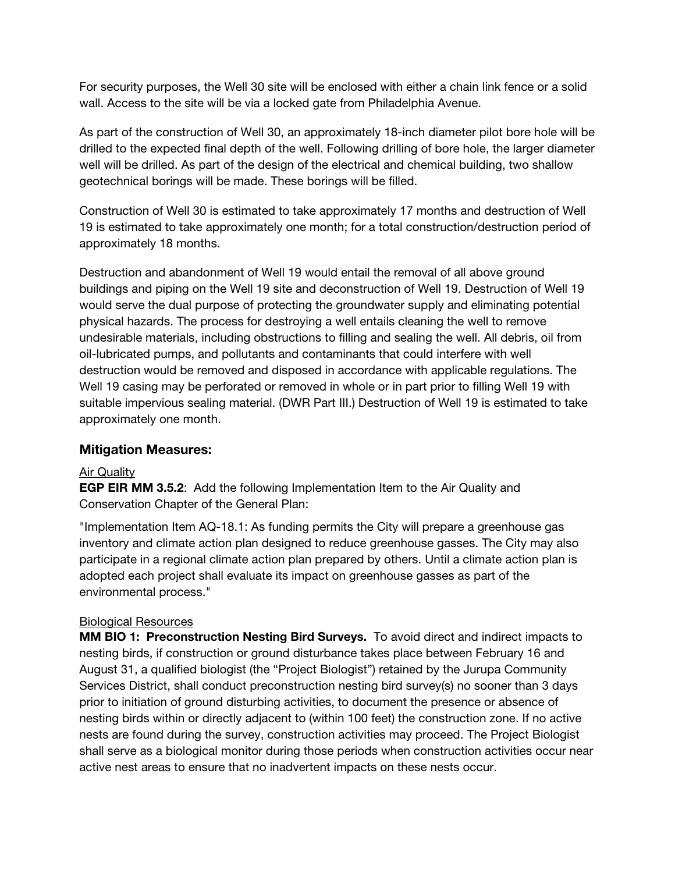For security purposes, the Well 30 site will be enclosed with either a chain link fence or a solid wall. Access to the site will be via a locked gate from Philadelphia Avenue.

As part of the construction of Well 30, an approximately 18-inch diameter pilot bore hole will be drilled to the expected final depth of the well. Following drilling of bore hole, the larger diameter well will be drilled. As part of the design of the electrical and chemical building, two shallow geotechnical borings will be made. These borings will be filled.

Construction of Well 30 is estimated to take approximately 17 months and destruction of Well 19 is estimated to take approximately one month; for a total construction/destruction period of approximately 18 months.

Destruction and abandonment of Well 19 would entail the removal of all above ground buildings and piping on the Well 19 site and deconstruction of Well 19. Destruction of Well 19 would serve the dual purpose of protecting the groundwater supply and eliminating potential physical hazards. The process for destroying a well entails cleaning the well to remove undesirable materials, including obstructions to filling and sealing the well. All debris, oil from oil-lubricated pumps, and pollutants and contaminants that could interfere with well destruction would be removed and disposed in accordance with applicable regulations. The Well 19 casing may be perforated or removed in whole or in part prior to filling Well 19 with suitable impervious sealing material. (DWR Part III.) Destruction of Well 19 is estimated to take approximately one month.

## Mitigation Measures:

### **Air Quality**

EGP EIR MM 3.5.2: Add the following Implementation Item to the Air Quality and Conservation Chapter of the General Plan:

"Implementation Item AQ-18.1: As funding permits the City will prepare a greenhouse gas inventory and climate action plan designed to reduce greenhouse gasses. The City may also participate in a regional climate action plan prepared by others. Until a climate action plan is adopted each project shall evaluate its impact on greenhouse gasses as part of the environmental process."

### Biological Resources

MM BIO 1: Preconstruction Nesting Bird Surveys. To avoid direct and indirect impacts to nesting birds, if construction or ground disturbance takes place between February 16 and August 31, a qualified biologist (the "Project Biologist") retained by the Jurupa Community Services District, shall conduct preconstruction nesting bird survey(s) no sooner than 3 days prior to initiation of ground disturbing activities, to document the presence or absence of nesting birds within or directly adjacent to (within 100 feet) the construction zone. If no active nests are found during the survey, construction activities may proceed. The Project Biologist shall serve as a biological monitor during those periods when construction activities occur near active nest areas to ensure that no inadvertent impacts on these nests occur.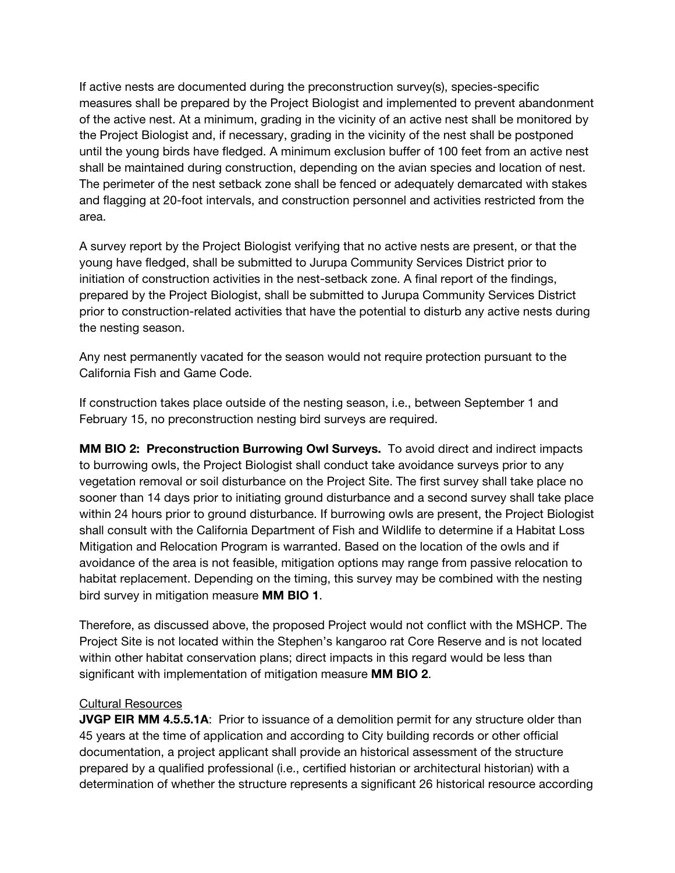If active nests are documented during the preconstruction survey(s), species-specific measures shall be prepared by the Project Biologist and implemented to prevent abandonment of the active nest. At a minimum, grading in the vicinity of an active nest shall be monitored by the Project Biologist and, if necessary, grading in the vicinity of the nest shall be postponed until the young birds have fledged. A minimum exclusion buffer of 100 feet from an active nest shall be maintained during construction, depending on the avian species and location of nest. The perimeter of the nest setback zone shall be fenced or adequately demarcated with stakes and flagging at 20-foot intervals, and construction personnel and activities restricted from the area.

A survey report by the Project Biologist verifying that no active nests are present, or that the young have fledged, shall be submitted to Jurupa Community Services District prior to initiation of construction activities in the nest-setback zone. A final report of the findings, prepared by the Project Biologist, shall be submitted to Jurupa Community Services District prior to construction-related activities that have the potential to disturb any active nests during the nesting season.

Any nest permanently vacated for the season would not require protection pursuant to the California Fish and Game Code.

If construction takes place outside of the nesting season, i.e., between September 1 and February 15, no preconstruction nesting bird surveys are required.

MM BIO 2: Preconstruction Burrowing Owl Surveys. To avoid direct and indirect impacts to burrowing owls, the Project Biologist shall conduct take avoidance surveys prior to any vegetation removal or soil disturbance on the Project Site. The first survey shall take place no sooner than 14 days prior to initiating ground disturbance and a second survey shall take place within 24 hours prior to ground disturbance. If burrowing owls are present, the Project Biologist shall consult with the California Department of Fish and Wildlife to determine if a Habitat Loss Mitigation and Relocation Program is warranted. Based on the location of the owls and if avoidance of the area is not feasible, mitigation options may range from passive relocation to habitat replacement. Depending on the timing, this survey may be combined with the nesting bird survey in mitigation measure MM BIO 1.

Therefore, as discussed above, the proposed Project would not conflict with the MSHCP. The Project Site is not located within the Stephen's kangaroo rat Core Reserve and is not located within other habitat conservation plans; direct impacts in this regard would be less than significant with implementation of mitigation measure MM BIO 2.

### Cultural Resources

**JVGP EIR MM 4.5.5.1A:** Prior to issuance of a demolition permit for any structure older than 45 years at the time of application and according to City building records or other official documentation, a project applicant shall provide an historical assessment of the structure prepared by a qualified professional (i.e., certified historian or architectural historian) with a determination of whether the structure represents a significant 26 historical resource according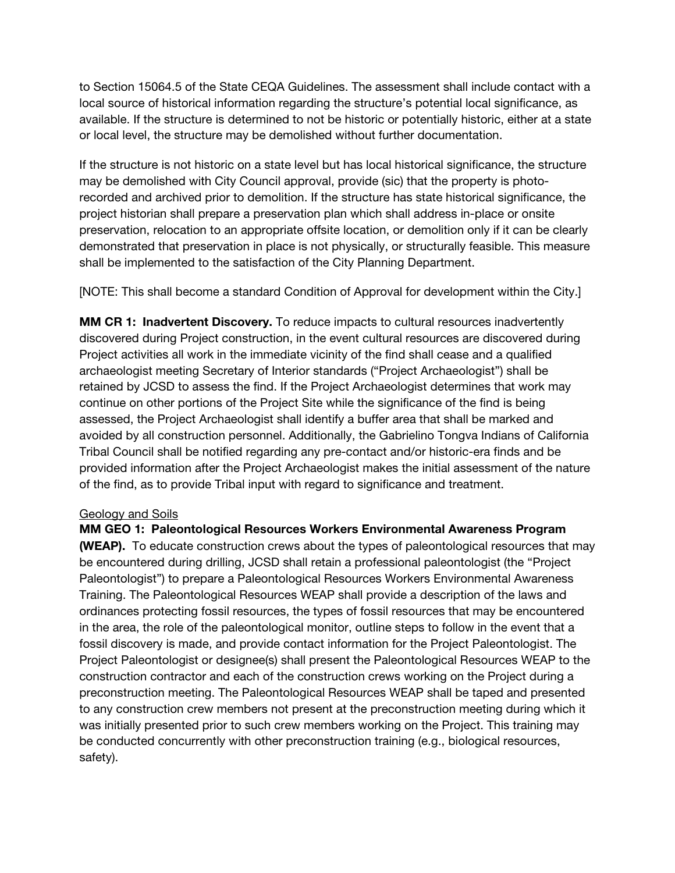to Section 15064.5 of the State CEQA Guidelines. The assessment shall include contact with a local source of historical information regarding the structure's potential local significance, as available. If the structure is determined to not be historic or potentially historic, either at a state or local level, the structure may be demolished without further documentation.

If the structure is not historic on a state level but has local historical significance, the structure may be demolished with City Council approval, provide (sic) that the property is photorecorded and archived prior to demolition. If the structure has state historical significance, the project historian shall prepare a preservation plan which shall address in-place or onsite preservation, relocation to an appropriate offsite location, or demolition only if it can be clearly demonstrated that preservation in place is not physically, or structurally feasible. This measure shall be implemented to the satisfaction of the City Planning Department.

[NOTE: This shall become a standard Condition of Approval for development within the City.]

MM CR 1: Inadvertent Discovery. To reduce impacts to cultural resources inadvertently discovered during Project construction, in the event cultural resources are discovered during Project activities all work in the immediate vicinity of the find shall cease and a qualified archaeologist meeting Secretary of Interior standards ("Project Archaeologist") shall be retained by JCSD to assess the find. If the Project Archaeologist determines that work may continue on other portions of the Project Site while the significance of the find is being assessed, the Project Archaeologist shall identify a buffer area that shall be marked and avoided by all construction personnel. Additionally, the Gabrielino Tongva Indians of California Tribal Council shall be notified regarding any pre-contact and/or historic-era finds and be provided information after the Project Archaeologist makes the initial assessment of the nature of the find, as to provide Tribal input with regard to significance and treatment.

### Geology and Soils

MM GEO 1: Paleontological Resources Workers Environmental Awareness Program (WEAP). To educate construction crews about the types of paleontological resources that may be encountered during drilling, JCSD shall retain a professional paleontologist (the "Project Paleontologist") to prepare a Paleontological Resources Workers Environmental Awareness Training. The Paleontological Resources WEAP shall provide a description of the laws and ordinances protecting fossil resources, the types of fossil resources that may be encountered in the area, the role of the paleontological monitor, outline steps to follow in the event that a fossil discovery is made, and provide contact information for the Project Paleontologist. The Project Paleontologist or designee(s) shall present the Paleontological Resources WEAP to the construction contractor and each of the construction crews working on the Project during a preconstruction meeting. The Paleontological Resources WEAP shall be taped and presented to any construction crew members not present at the preconstruction meeting during which it was initially presented prior to such crew members working on the Project. This training may be conducted concurrently with other preconstruction training (e.g., biological resources, safety).